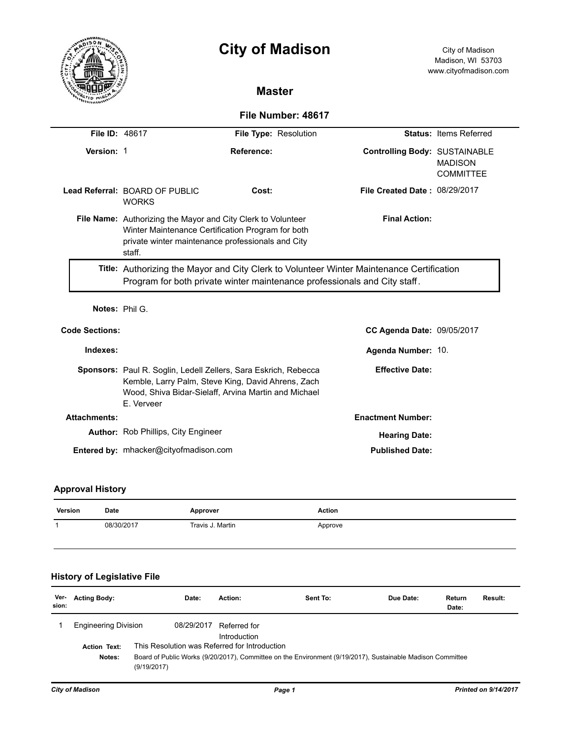

# **City of Madison** City of Madison

# **Master**

# **File Number: 48617**

| File ID: 48617        |                                                                                                                                                                                         | File Type: Resolution                                                                                                                                                         |                                      | <b>Status: Items Referred</b>      |  |  |
|-----------------------|-----------------------------------------------------------------------------------------------------------------------------------------------------------------------------------------|-------------------------------------------------------------------------------------------------------------------------------------------------------------------------------|--------------------------------------|------------------------------------|--|--|
| Version: 1            |                                                                                                                                                                                         | Reference:                                                                                                                                                                    | <b>Controlling Body: SUSTAINABLE</b> | <b>MADISON</b><br><b>COMMITTEE</b> |  |  |
|                       | Lead Referral: BOARD OF PUBLIC<br><b>WORKS</b>                                                                                                                                          | Cost:                                                                                                                                                                         | <b>File Created Date: 08/29/2017</b> |                                    |  |  |
|                       | <b>File Name:</b> Authorizing the Mayor and City Clerk to Volunteer<br>Winter Maintenance Certification Program for both<br>private winter maintenance professionals and City<br>staff. |                                                                                                                                                                               |                                      |                                    |  |  |
|                       | Title: Authorizing the Mayor and City Clerk to Volunteer Winter Maintenance Certification<br>Program for both private winter maintenance professionals and City staff.                  |                                                                                                                                                                               |                                      |                                    |  |  |
|                       | Notes: Phil G.                                                                                                                                                                          |                                                                                                                                                                               |                                      |                                    |  |  |
| <b>Code Sections:</b> |                                                                                                                                                                                         |                                                                                                                                                                               | <b>CC Agenda Date: 09/05/2017</b>    |                                    |  |  |
| Indexes:              |                                                                                                                                                                                         |                                                                                                                                                                               | Agenda Number: 10.                   |                                    |  |  |
|                       | E. Verveer                                                                                                                                                                              | Sponsors: Paul R. Soglin, Ledell Zellers, Sara Eskrich, Rebecca<br>Kemble, Larry Palm, Steve King, David Ahrens, Zach<br>Wood, Shiva Bidar-Sielaff, Arvina Martin and Michael | <b>Effective Date:</b>               |                                    |  |  |
| <b>Attachments:</b>   |                                                                                                                                                                                         |                                                                                                                                                                               | <b>Enactment Number:</b>             |                                    |  |  |
|                       | <b>Author:</b> Rob Phillips, City Engineer                                                                                                                                              |                                                                                                                                                                               | <b>Hearing Date:</b>                 |                                    |  |  |
|                       | Entered by: mhacker@cityofmadison.com                                                                                                                                                   |                                                                                                                                                                               | <b>Published Date:</b>               |                                    |  |  |

# **Approval History**

| Version | <b>Date</b> | Approver         | Action  |
|---------|-------------|------------------|---------|
|         | 08/30/2017  | Travis J. Martin | Approve |

## **History of Legislative File**

| Ver-<br>sion: | <b>Acting Body:</b>                                                                                                                 | Date:                                         | Action:                      | Sent To: | Due Date: | Return<br>Date: | Result: |
|---------------|-------------------------------------------------------------------------------------------------------------------------------------|-----------------------------------------------|------------------------------|----------|-----------|-----------------|---------|
|               | <b>Engineering Division</b><br>08/29/2017                                                                                           |                                               | Referred for<br>Introduction |          |           |                 |         |
|               | <b>Action Text:</b>                                                                                                                 | This Resolution was Referred for Introduction |                              |          |           |                 |         |
|               | Board of Public Works (9/20/2017), Committee on the Environment (9/19/2017), Sustainable Madison Committee<br>Notes:<br>(9/19/2017) |                                               |                              |          |           |                 |         |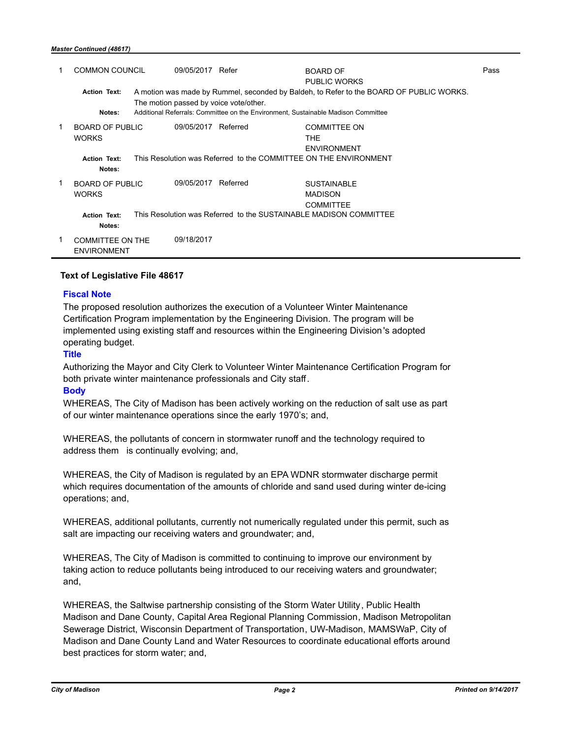|             | <b>COMMON COUNCIL</b>                         | 09/05/2017                                                                                                                        | Refer                                                                             | <b>BOARD OF</b><br><b>PUBLIC WORKS</b>                            | Pass |
|-------------|-----------------------------------------------|-----------------------------------------------------------------------------------------------------------------------------------|-----------------------------------------------------------------------------------|-------------------------------------------------------------------|------|
|             | <b>Action Text:</b>                           | A motion was made by Rummel, seconded by Baldeh, to Refer to the BOARD OF PUBLIC WORKS.<br>The motion passed by voice vote/other. |                                                                                   |                                                                   |      |
|             | Notes:                                        |                                                                                                                                   | Additional Referrals: Committee on the Environment, Sustainable Madison Committee |                                                                   |      |
| 1           | <b>BOARD OF PUBLIC</b><br><b>WORKS</b>        | 09/05/2017                                                                                                                        | Referred                                                                          | <b>COMMITTEE ON</b><br><b>THE</b><br><b>ENVIRONMENT</b>           |      |
|             | <b>Action Text:</b><br>Notes:                 |                                                                                                                                   |                                                                                   | This Resolution was Referred to the COMMITTEE ON THE ENVIRONMENT  |      |
| $\mathbf 1$ | <b>BOARD OF PUBLIC</b><br><b>WORKS</b>        | 09/05/2017                                                                                                                        | Referred                                                                          | <b>SUSTAINABLE</b><br><b>MADISON</b><br><b>COMMITTEE</b>          |      |
|             | <b>Action Text:</b><br>Notes:                 |                                                                                                                                   |                                                                                   | This Resolution was Referred to the SUSTAINABLE MADISON COMMITTEE |      |
|             | <b>COMMITTEE ON THE</b><br><b>ENVIRONMENT</b> | 09/18/2017                                                                                                                        |                                                                                   |                                                                   |      |

### **Text of Legislative File 48617**

### **Fiscal Note**

The proposed resolution authorizes the execution of a Volunteer Winter Maintenance Certification Program implementation by the Engineering Division. The program will be implemented using existing staff and resources within the Engineering Division's adopted operating budget.

## **Title**

Authorizing the Mayor and City Clerk to Volunteer Winter Maintenance Certification Program for both private winter maintenance professionals and City staff.

## **Body**

WHEREAS, The City of Madison has been actively working on the reduction of salt use as part of our winter maintenance operations since the early 1970's; and,

WHEREAS, the pollutants of concern in stormwater runoff and the technology required to address them is continually evolving; and,

WHEREAS, the City of Madison is regulated by an EPA WDNR stormwater discharge permit which requires documentation of the amounts of chloride and sand used during winter de-icing operations; and,

WHEREAS, additional pollutants, currently not numerically regulated under this permit, such as salt are impacting our receiving waters and groundwater; and,

WHEREAS, The City of Madison is committed to continuing to improve our environment by taking action to reduce pollutants being introduced to our receiving waters and groundwater; and,

WHEREAS, the Saltwise partnership consisting of the Storm Water Utility, Public Health Madison and Dane County, Capital Area Regional Planning Commission, Madison Metropolitan Sewerage District, Wisconsin Department of Transportation, UW-Madison, MAMSWaP, City of Madison and Dane County Land and Water Resources to coordinate educational efforts around best practices for storm water; and,